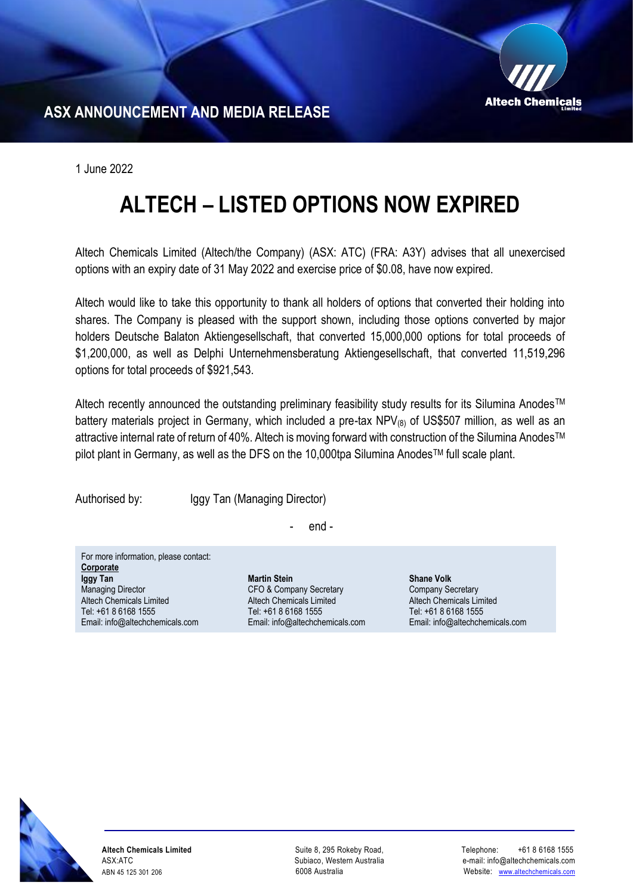

**ASX ANNOUNCEMENT AND MEDIA RELEASE** 

1 June 2022

## **ALTECH – LISTED OPTIONS NOW EXPIRED**

Altech Chemicals Limited (Altech/the Company) (ASX: ATC) (FRA: A3Y) advises that all unexercised options with an expiry date of 31 May 2022 and exercise price of \$0.08, have now expired.

Altech would like to take this opportunity to thank all holders of options that converted their holding into shares. The Company is pleased with the support shown, including those options converted by major holders Deutsche Balaton Aktiengesellschaft, that converted 15,000,000 options for total proceeds of \$1,200,000, as well as Delphi Unternehmensberatung Aktiengesellschaft, that converted 11,519,296 options for total proceeds of \$921,543.

Altech recently announced the outstanding preliminary feasibility study results for its Silumina Anodes™ battery materials project in Germany, which included a pre-tax  $NPV_{(8)}$  of US\$507 million, as well as an attractive internal rate of return of 40%. Altech is moving forward with construction of the Silumina Anodes™ pilot plant in Germany, as well as the DFS on the 10,000tpa Silumina Anodes™ full scale plant.

Authorised by: Iggy Tan (Managing Director)

- end -

For more information, please contact: **Corporate Iggy Tan** Managing Director Altech Chemicals Limited Tel: +61 8 6168 1555 Email: [info@altechchemicals.com](mailto:info@altechchemicals.com)

**Martin Stein** CFO & Company Secretary Altech Chemicals Limited Tel: +61 8 6168 1555 Email: info@altechchemicals.com **Shane Volk** Company Secretary Altech Chemicals Limited Tel: +61 8 6168 1555 Email: info@altechchemicals.com



**Altech Chemicals Limited**  ASX:ATC ABN 45 125 301 206

Suite 8, 295 Rokeby Road, Subiaco, Western Australia 6008 Australia

 Telephone: +61 8 6168 1555 e-mail: info@altechchemicals.com Website: [www.altechchemicals.com](http://www.altechchemicals.com/)